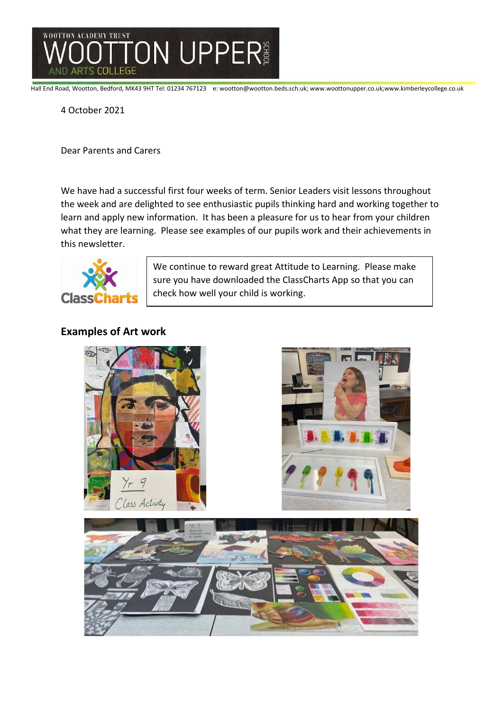

Hall End Road, Wootton, Bedford, MK43 9HT Tel: 01234 767123 e: wootton@wootton.beds.sch.uk; www.woottonupper.co.uk;www.kimberleycollege.co.uk

4 October 2021

Dear Parents and Carers

We have had a successful first four weeks of term. Senior Leaders visit lessons throughout the week and are delighted to see enthusiastic pupils thinking hard and working together to learn and apply new information. It has been a pleasure for us to hear from your children what they are learning. Please see examples of our pupils work and their achievements in this newsletter.



We continue to reward great Attitude to Learning. Please make sure you have downloaded the ClassCharts App so that you can check how well your child is working.

# **Examples of Art work**

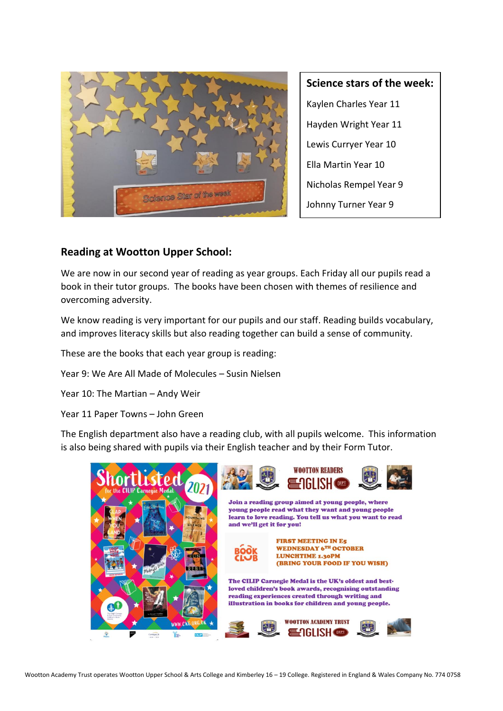

**Science stars of the week:** Kaylen Charles Year 11 Hayden Wright Year 11 Lewis Curryer Year 10 Ella Martin Year 10 Nicholas Rempel Year 9 Johnny Turner Year 9

## **Reading at Wootton Upper School:**

We are now in our second year of reading as year groups. Each Friday all our pupils read a book in their tutor groups. The books have been chosen with themes of resilience and overcoming adversity.

We know reading is very important for our pupils and our staff. Reading builds vocabulary, and improves literacy skills but also reading together can build a sense of community.

These are the books that each year group is reading:

Year 9: We Are All Made of Molecules – Susin Nielsen

Year 10: The Martian – Andy Weir

Year 11 Paper Towns – John Green

The English department also have a reading club, with all pupils welcome. This information is also being shared with pupils via their English teacher and by their Form Tutor.

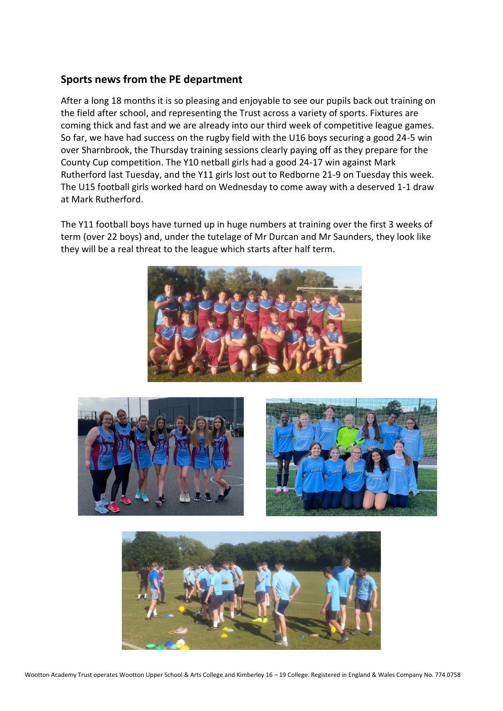## **Sports news from the PE department**

After a long 18 months it is so pleasing and enjoyable to see our pupils back out training on the field after school, and representing the Trust across a variety of sports. Fixtures are coming thick and fast and we are already into our third week of competitive league games. So far, we have had success on the rugby field with the U16 boys securing a good 24-5 win over Sharnbrook, the Thursday training sessions clearly paying off as they prepare for the County Cup competition. The Y10 netball girls had a good 24-17 win against Mark Rutherford last Tuesday, and the Y11 girls lost out to Redborne 21-9 on Tuesday this week. The U15 football girls worked hard on Wednesday to come away with a deserved 1-1 draw at Mark Rutherford.

The Y11 football boys have turned up in huge numbers at training over the first 3 weeks of term (over 22 boys) and, under the tutelage of Mr Durcan and Mr Saunders, they look like they will be a real threat to the league which starts after half term.